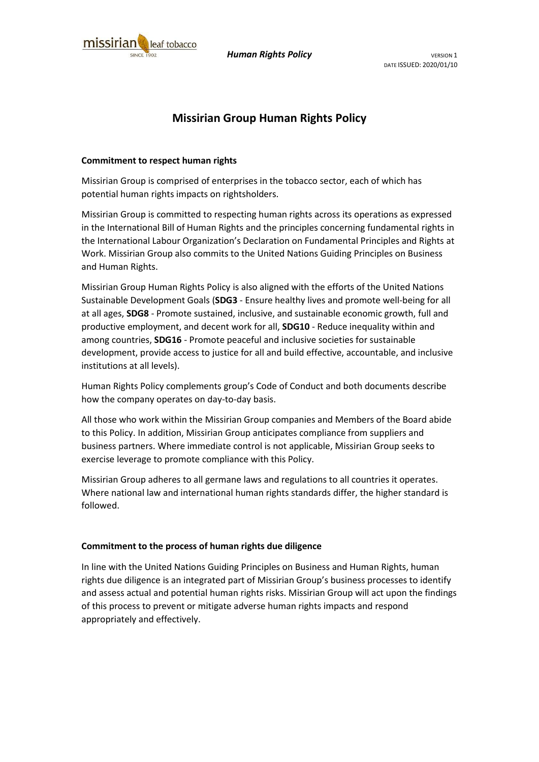**Human Rights Policy** VERSION 1



DATE ISSUED: 2020/01/10

## **Missirian Group Human Rights Policy**

## **Commitment to respect human rights**

Missirian Group is comprised of enterprises in the tobacco sector, each of which has potential human rights impacts on rightsholders.

Missirian Group is committed to respecting human rights across its operations as expressed in the International Bill of Human Rights and the principles concerning fundamental rights in the International Labour Organization's Declaration on Fundamental Principles and Rights at Work. Missirian Group also commits to the United Nations Guiding Principles on Business and Human Rights.

Missirian Group Human Rights Policy is also aligned with the efforts of the United Nations Sustainable Development Goals (**SDG3** - Ensure healthy lives and promote well-being for all at all ages, **SDG8** - Promote sustained, inclusive, and sustainable economic growth, full and productive employment, and decent work for all, **SDG10** - Reduce inequality within and among countries, **SDG16** - Promote peaceful and inclusive societies for sustainable development, provide access to justice for all and build effective, accountable, and inclusive institutions at all levels).

Human Rights Policy complements group's Code of Conduct and both documents describe how the company operates on day-to-day basis.

All those who work within the Missirian Group companies and Members of the Board abide to this Policy. In addition, Missirian Group anticipates compliance from suppliers and business partners. Where immediate control is not applicable, Missirian Group seeks to exercise leverage to promote compliance with this Policy.

Missirian Group adheres to all germane laws and regulations to all countries it operates. Where national law and international human rights standards differ, the higher standard is followed.

## **Commitment to the process of human rights due diligence**

In line with the United Nations Guiding Principles on Business and Human Rights, human rights due diligence is an integrated part of Missirian Group's business processes to identify and assess actual and potential human rights risks. Missirian Group will act upon the findings of this process to prevent or mitigate adverse human rights impacts and respond appropriately and effectively.